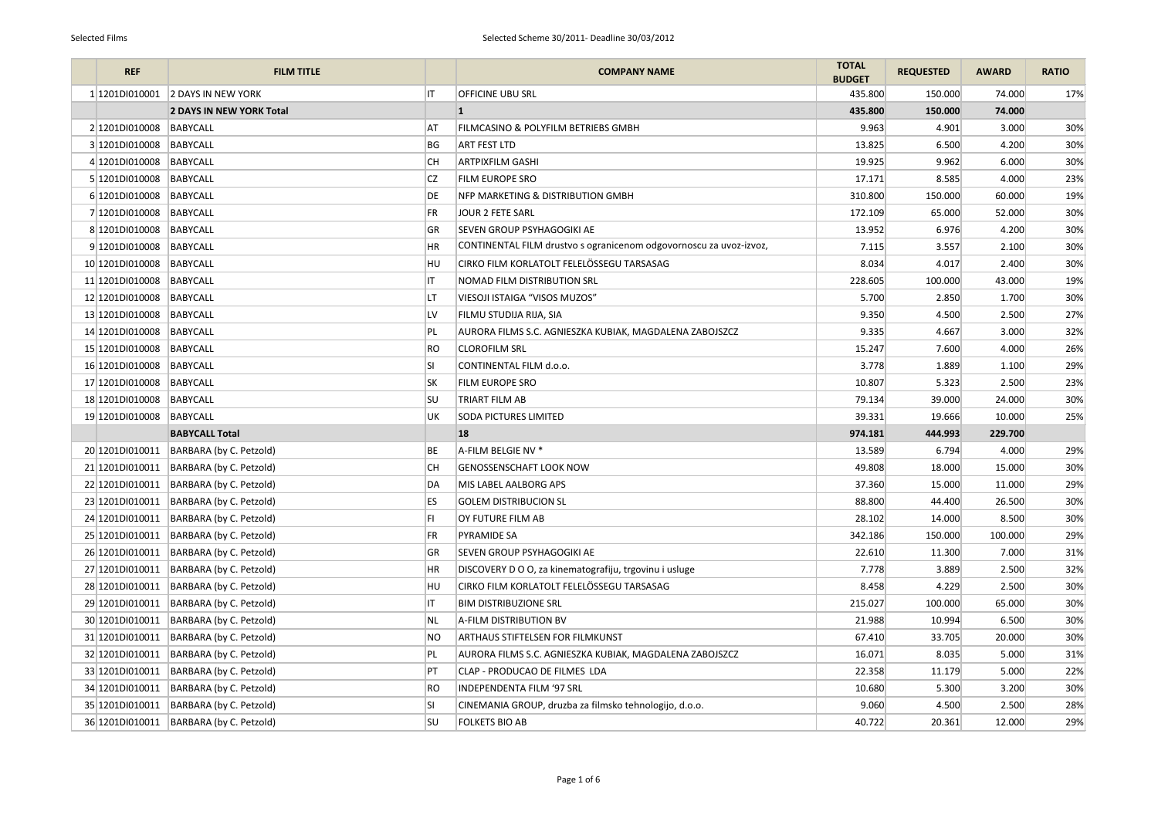| <b>REF</b>       | <b>FILM TITLE</b>               |           | <b>COMPANY NAME</b>                                                | <b>TOTAL</b><br><b>BUDGET</b> | <b>REQUESTED</b> | <b>AWARD</b> | <b>RATIO</b> |
|------------------|---------------------------------|-----------|--------------------------------------------------------------------|-------------------------------|------------------|--------------|--------------|
| 1 1201 DI010001  | <b>2 DAYS IN NEW YORK</b>       | IT        | <b>OFFICINE UBU SRL</b>                                            | 435.800                       | 150.000          | 74.000       | 17%          |
|                  | <b>2 DAYS IN NEW YORK Total</b> |           | $\vert$ 1                                                          | 435.800                       | 150.000          | 74.000       |              |
| 2 1201D1010008   | <b>BABYCALL</b>                 | ΑT        | <b>FILMCASINO &amp; POLYFILM BETRIEBS GMBH</b>                     | 9.963                         | 4.901            | 3.000        | 30%          |
| 3 1201D1010008   | <b>BABYCALL</b>                 | BG        | <b>ART FEST LTD</b>                                                | 13.825                        | 6.500            | 4.200        | 30%          |
| 4 1201D1010008   | <b>BABYCALL</b>                 | <b>CH</b> | <b>ARTPIXFILM GASHI</b>                                            | 19.925                        | 9.962            | 6.000        | 30%          |
| 5 1201D1010008   | BABYCALL                        | CZ        | <b>FILM EUROPE SRO</b>                                             | 17.171                        | 8.585            | 4.000        | 23%          |
| 6 1201D1010008   | <b>BABYCALL</b>                 | DE        | NFP MARKETING & DISTRIBUTION GMBH                                  | 310.800                       | 150.000          | 60.000       | 19%          |
| 7 1201D1010008   | <b>BABYCALL</b>                 | FR        | <b>JOUR 2 FETE SARL</b>                                            | 172.109                       | 65.000           | 52.000       | 30%          |
| 8 1201D1010008   | <b>BABYCALL</b>                 | <b>GR</b> | <b>SEVEN GROUP PSYHAGOGIKI AE</b>                                  | 13.952                        | 6.976            | 4.200        | 30%          |
| 9 1201D1010008   | <b>BABYCALL</b>                 | HR        | CONTINENTAL FILM drustvo s ogranicenom odgovornoscu za uvoz-izvoz, | 7.115                         | 3.557            | 2.100        | 30%          |
| 10 1201D1010008  | <b>BABYCALL</b>                 | HU        | CIRKO FILM KORLATOLT FELELÖSSEGU TARSASAG                          | 8.034                         | 4.017            | 2.400        | 30%          |
| 11 1201D1010008  | <b>BABYCALL</b>                 |           | <b>NOMAD FILM DISTRIBUTION SRL</b>                                 | 228.605                       | 100.000          | 43.000       | 19%          |
| 12 1201D1010008  | <b>BABYCALL</b>                 | LT        | VIESOJI ISTAIGA "VISOS MUZOS"                                      | 5.700                         | 2.850            | 1.700        | 30%          |
| 13 1201D1010008  | <b>BABYCALL</b>                 | LV        | FILMU STUDIJA RIJA, SIA                                            | 9.350                         | 4.500            | 2.500        | 27%          |
| 14 1201D1010008  | <b>BABYCALL</b>                 | PL        | AURORA FILMS S.C. AGNIESZKA KUBIAK, MAGDALENA ZABOJSZCZ            | 9.335                         | 4.667            | 3.000        | 32%          |
| 15 1201D1010008  | <b>BABYCALL</b>                 | RO        | <b>CLOROFILM SRL</b>                                               | 15.247                        | 7.600            | 4.000        | 26%          |
| 16 1201DI010008  | <b>BABYCALL</b>                 | SI        | CONTINENTAL FILM d.o.o.                                            | 3.778                         | 1.889            | 1.100        | 29%          |
| 17 1201D1010008  | <b>BABYCALL</b>                 | <b>SK</b> | <b>FILM EUROPE SRO</b>                                             | 10.807                        | 5.323            | 2.500        | 23%          |
| 18 1201DI010008  | <b>BABYCALL</b>                 | <b>SU</b> | <b>TRIART FILM AB</b>                                              | 79.134                        | 39.000           | 24.000       | 30%          |
| 19 1201DI010008  | <b>BABYCALL</b>                 | UK        | <b>SODA PICTURES LIMITED</b>                                       | 39.331                        | 19.666           | 10.000       | 25%          |
|                  | <b>BABYCALL Total</b>           |           | 18                                                                 | 974.181                       | 444.993          | 229.700      |              |
| 20 1201D1010011  | BARBARA (by C. Petzold)         | ВE        | A-FILM BELGIE NV *                                                 | 13.589                        | 6.794            | 4.000        | 29%          |
| 21 1201 DI010011 | BARBARA (by C. Petzold)         | CH.       | <b>GENOSSENSCHAFT LOOK NOW</b>                                     | 49.808                        | 18.000           | 15.000       | 30%          |
| 22 1201D1010011  | BARBARA (by C. Petzold)         | DA        | MIS LABEL AALBORG APS                                              | 37.360                        | 15.000           | 11.000       | 29%          |
| 23 1201D1010011  | BARBARA (by C. Petzold)         | <b>ES</b> | <b>GOLEM DISTRIBUCION SL</b>                                       | 88.800                        | 44.400           | 26.500       | 30%          |
| 24 1201D1010011  | BARBARA (by C. Petzold)         |           | OY FUTURE FILM AB                                                  | 28.102                        | 14.000           | 8.500        | 30%          |
| 25 1201D1010011  | BARBARA (by C. Petzold)         | FR        | <b>PYRAMIDE SA</b>                                                 | 342.186                       | 150.000          | 100.000      | 29%          |
| 26 1201DI010011  | BARBARA (by C. Petzold)         | GR        | <b>SEVEN GROUP PSYHAGOGIKI AE</b>                                  | 22.610                        | 11.300           | 7.000        | 31%          |
| 27 1201D1010011  | BARBARA (by C. Petzold)         | ΗR        | DISCOVERY D O O, za kinematografiju, trgovinu i usluge             | 7.778                         | 3.889            | 2.500        | 32%          |
| 28 1201D1010011  | BARBARA (by C. Petzold)         | HU        | CIRKO FILM KORLATOLT FELELÖSSEGU TARSASAG                          | 8.458                         | 4.229            | 2.500        | 30%          |
| 29 1201D1010011  | BARBARA (by C. Petzold)         |           | <b>BIM DISTRIBUZIONE SRL</b>                                       | 215.027                       | 100.000          | 65.000       | 30%          |
| 30 1201D1010011  | BARBARA (by C. Petzold)         | NL        | A-FILM DISTRIBUTION BV                                             | 21.988                        | 10.994           | 6.500        | 30%          |
| 31 1201DI010011  | BARBARA (by C. Petzold)         | NO        | <b>ARTHAUS STIFTELSEN FOR FILMKUNST</b>                            | 67.410                        | 33.705           | 20.000       | 30%          |
| 32 1201D1010011  | BARBARA (by C. Petzold)         | PL        | AURORA FILMS S.C. AGNIESZKA KUBIAK, MAGDALENA ZABOJSZCZ            | 16.071                        | 8.035            | 5.000        | 31%          |
| 33 1201DI010011  | BARBARA (by C. Petzold)         | PT        | CLAP - PRODUCAO DE FILMES LDA                                      | 22.358                        | 11.179           | 5.000        | 22%          |
| 34 1201D1010011  | BARBARA (by C. Petzold)         | RO        | <b>INDEPENDENTA FILM '97 SRL</b>                                   | 10.680                        | 5.300            | 3.200        | 30%          |
| 35 1201DI010011  | BARBARA (by C. Petzold)         | SI        | CINEMANIA GROUP, druzba za filmsko tehnologijo, d.o.o.             | 9.060                         | 4.500            | 2.500        | 28%          |
| 36 1201DI010011  | BARBARA (by C. Petzold)         | SU        | <b>FOLKETS BIO AB</b>                                              | 40.722                        | 20.361           | 12.000       | 29%          |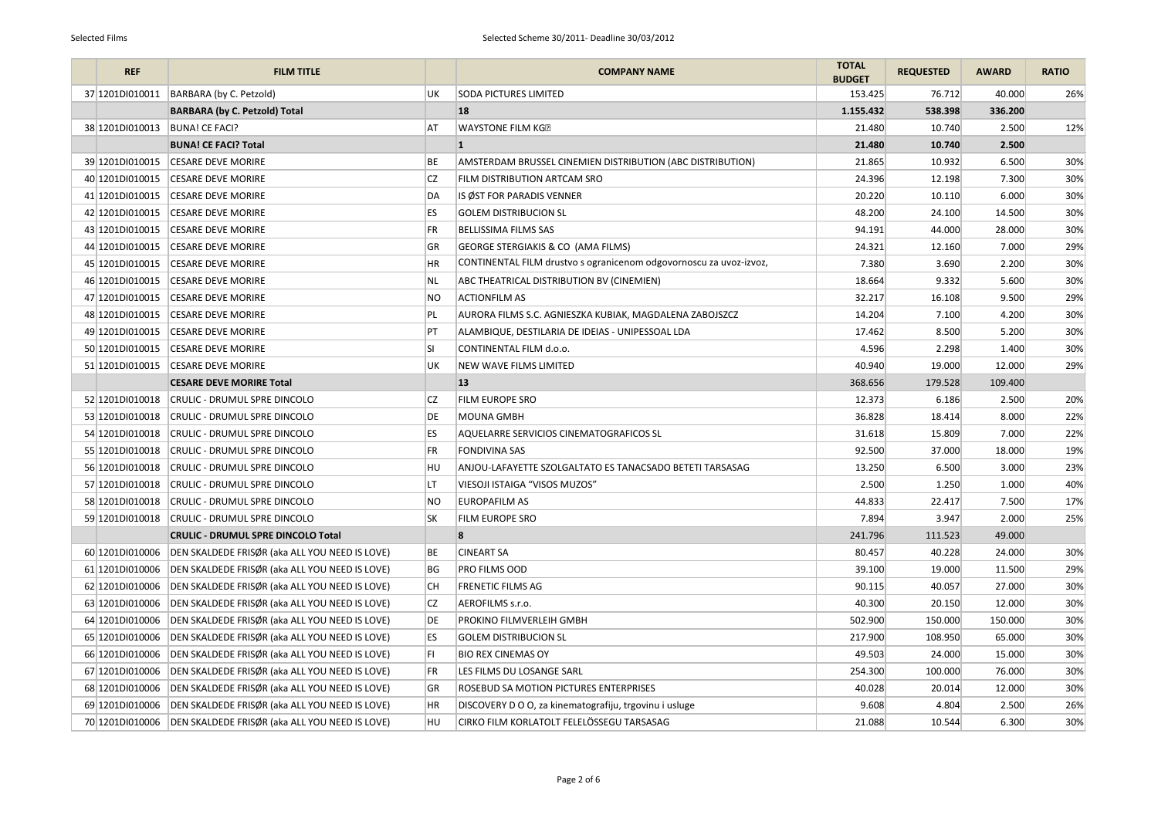| <b>REF</b>        | <b>FILM TITLE</b>                                              |           | <b>COMPANY NAME</b>                                                | <b>TOTAL</b><br><b>BUDGET</b> | <b>REQUESTED</b> | <b>AWARD</b> | <b>RATIO</b> |
|-------------------|----------------------------------------------------------------|-----------|--------------------------------------------------------------------|-------------------------------|------------------|--------------|--------------|
| 37 1201D1010011   | BARBARA (by C. Petzold)                                        | UK        | <b>SODA PICTURES LIMITED</b>                                       | 153.425                       | 76.712           | 40.000       | 26%          |
|                   | <b>BARBARA (by C. Petzold) Total</b>                           |           | 18                                                                 | 1.155.432                     | 538.398          | 336.200      |              |
| 38 1201 DI010013  | <b>BUNA! CE FACI?</b>                                          | AT        | <b>WAYSTONE FILM KG®</b>                                           | 21.480                        | 10.740           | 2.500        | 12%          |
|                   | <b>BUNA! CE FACI? Total</b>                                    |           |                                                                    | 21.480                        | 10.740           | 2.500        |              |
| 39 1201D1010015   | <b>CESARE DEVE MORIRE</b>                                      | BE        | AMSTERDAM BRUSSEL CINEMIEN DISTRIBUTION (ABC DISTRIBUTION)         | 21.865                        | 10.932           | 6.500        | 30%          |
| 40 1201D1010015   | <b>CESARE DEVE MORIRE</b>                                      | <b>CZ</b> | <b>FILM DISTRIBUTION ARTCAM SRO</b>                                | 24.396                        | 12.198           | 7.300        | 30%          |
| 41 1201DI010015   | <b>CESARE DEVE MORIRE</b>                                      | DA        | IS ØST FOR PARADIS VENNER                                          | 20.220                        | 10.110           | 6.000        | 30%          |
| 42 1201D1010015   | <b>CESARE DEVE MORIRE</b>                                      | <b>ES</b> | <b>GOLEM DISTRIBUCION SL</b>                                       | 48.200                        | 24.100           | 14.500       | 30%          |
| 43 1201D1010015   | <b>CESARE DEVE MORIRE</b>                                      | <b>FR</b> | <b>BELLISSIMA FILMS SAS</b>                                        | 94.191                        | 44.000           | 28.000       | 30%          |
| 44 1201 DI010015  | <b>CESARE DEVE MORIRE</b>                                      | GR        | <b>GEORGE STERGIAKIS &amp; CO (AMA FILMS)</b>                      | 24.321                        | 12.160           | 7.000        | 29%          |
| 45 1201DI010015   | <b>CESARE DEVE MORIRE</b>                                      | HR        | CONTINENTAL FILM drustvo s ogranicenom odgovornoscu za uvoz-izvoz, | 7.380                         | 3.690            | 2.200        | 30%          |
| 46 1201D1010015   | <b>CESARE DEVE MORIRE</b>                                      | NL.       | ABC THEATRICAL DISTRIBUTION BV (CINEMIEN)                          | 18.664                        | 9.332            | 5.600        | 30%          |
| 47 1201D1010015   | <b>CESARE DEVE MORIRE</b>                                      | <b>NO</b> | <b>ACTIONFILM AS</b>                                               | 32.217                        | 16.108           | 9.500        | 29%          |
| 48 1201D1010015   | <b>CESARE DEVE MORIRE</b>                                      | PL        | AURORA FILMS S.C. AGNIESZKA KUBIAK, MAGDALENA ZABOJSZCZ            | 14.204                        | 7.100            | 4.200        | 30%          |
| 49 1201D1010015   | <b>CESARE DEVE MORIRE</b>                                      | PT        | ALAMBIQUE, DESTILARIA DE IDEIAS - UNIPESSOAL LDA                   | 17.462                        | 8.500            | 5.200        | 30%          |
| 50 1201D1010015   | <b>CESARE DEVE MORIRE</b>                                      | <b>SI</b> | CONTINENTAL FILM d.o.o.                                            | 4.596                         | 2.298            | 1.400        | 30%          |
| 51 1201 DI010015  | <b>CESARE DEVE MORIRE</b>                                      | UK        | <b>NEW WAVE FILMS LIMITED</b>                                      | 40.940                        | 19.000           | 12.000       | 29%          |
|                   | <b>CESARE DEVE MORIRE Total</b>                                |           | 13                                                                 | 368.656                       | 179.528          | 109.400      |              |
| 52 1201D1010018   | <b>CRULIC - DRUMUL SPRE DINCOLO</b>                            | CZ        | <b>FILM EUROPE SRO</b>                                             | 12.373                        | 6.186            | 2.500        | 20%          |
| 53 1201DI010018   | <b>CRULIC - DRUMUL SPRE DINCOLO</b>                            | DE        | <b>MOUNA GMBH</b>                                                  | 36.828                        | 18.414           | 8.000        | 22%          |
| 54 1201 DI 010018 | <b>CRULIC - DRUMUL SPRE DINCOLO</b>                            | ES.       | AQUELARRE SERVICIOS CINEMATOGRAFICOS SL                            | 31.618                        | 15.809           | 7.000        | 22%          |
|                   | 55 1201D1010018 CRULIC - DRUMUL SPRE DINCOLO                   | FR        | <b>FONDIVINA SAS</b>                                               | 92.500                        | 37.000           | 18.000       | 19%          |
|                   | 56 1201D1010018 CRULIC - DRUMUL SPRE DINCOLO                   | HU.       | ANJOU-LAFAYETTE SZOLGALTATO ES TANACSADO BETETI TARSASAG           | 13.250                        | 6.500            | 3.000        | 23%          |
| 57 1201D1010018   | <b>CRULIC - DRUMUL SPRE DINCOLO</b>                            | LT        | VIESOJI ISTAIGA "VISOS MUZOS"                                      | 2.500                         | 1.250            | 1.000        | 40%          |
|                   | 58 1201D1010018 CRULIC - DRUMUL SPRE DINCOLO                   | <b>NO</b> | EUROPAFILM AS                                                      | 44.833                        | 22.417           | 7.500        | 17%          |
| 59 1201D1010018   | <b>CRULIC - DRUMUL SPRE DINCOLO</b>                            | <b>SK</b> | <b>FILM EUROPE SRO</b>                                             | 7.894                         | 3.947            | 2.000        | 25%          |
|                   | <b>CRULIC - DRUMUL SPRE DINCOLO Total</b>                      |           |                                                                    | 241.796                       | 111.523          | 49.000       |              |
| 60 1201D1010006   | DEN SKALDEDE FRISØR (aka ALL YOU NEED IS LOVE)                 | BE        | <b>CINEART SA</b>                                                  | 80.457                        | 40.228           | 24.000       | 30%          |
| 61 1201 DI010006  | DEN SKALDEDE FRISØR (aka ALL YOU NEED IS LOVE)                 | BG        | <b>PRO FILMS OOD</b>                                               | 39.100                        | 19.000           | 11.500       | 29%          |
| 62 1201D1010006   | DEN SKALDEDE FRISØR (aka ALL YOU NEED IS LOVE)                 | <b>CH</b> | <b>FRENETIC FILMS AG</b>                                           | 90.115                        | 40.057           | 27.000       | 30%          |
| 63 1201DI010006   | DEN SKALDEDE FRISØR (aka ALL YOU NEED IS LOVE)                 | CZ        | AEROFILMS s.r.o.                                                   | 40.300                        | 20.150           | 12.000       | 30%          |
| 64 1201DI010006   | DEN SKALDEDE FRISØR (aka ALL YOU NEED IS LOVE)                 | DE        | PROKINO FILMVERLEIH GMBH                                           | 502.900                       | 150.000          | 150.000      | 30%          |
| 65 1201DI010006   | DEN SKALDEDE FRISØR (aka ALL YOU NEED IS LOVE)                 | ES.       | <b>GOLEM DISTRIBUCION SL</b>                                       | 217.900                       | 108.950          | 65.000       | 30%          |
| 66 1201D1010006   | DEN SKALDEDE FRISØR (aka ALL YOU NEED IS LOVE)                 | ΙFΙ       | <b>BIO REX CINEMAS OY</b>                                          | 49.503                        | 24.000           | 15.000       | 30%          |
| 67 1201 DI010006  | DEN SKALDEDE FRISØR (aka ALL YOU NEED IS LOVE)                 | FR.       | LES FILMS DU LOSANGE SARL                                          | 254.300                       | 100.000          | 76.000       | 30%          |
| 68 1201D1010006   | DEN SKALDEDE FRISØR (aka ALL YOU NEED IS LOVE)                 | GR        | ROSEBUD SA MOTION PICTURES ENTERPRISES                             | 40.028                        | 20.014           | 12.000       | 30%          |
| 69 1201DI010006   | DEN SKALDEDE FRISØR (aka ALL YOU NEED IS LOVE)                 | НR        | DISCOVERY D O O, za kinematografiju, trgovinu i usluge             | 9.608                         | 4.804            | 2.500        | 26%          |
|                   | 70 1201DI010006 DEN SKALDEDE FRISØR (aka ALL YOU NEED IS LOVE) | HU        | CIRKO FILM KORLATOLT FELELÖSSEGU TARSASAG                          | 21.088                        | 10.544           | 6.300        | 30%          |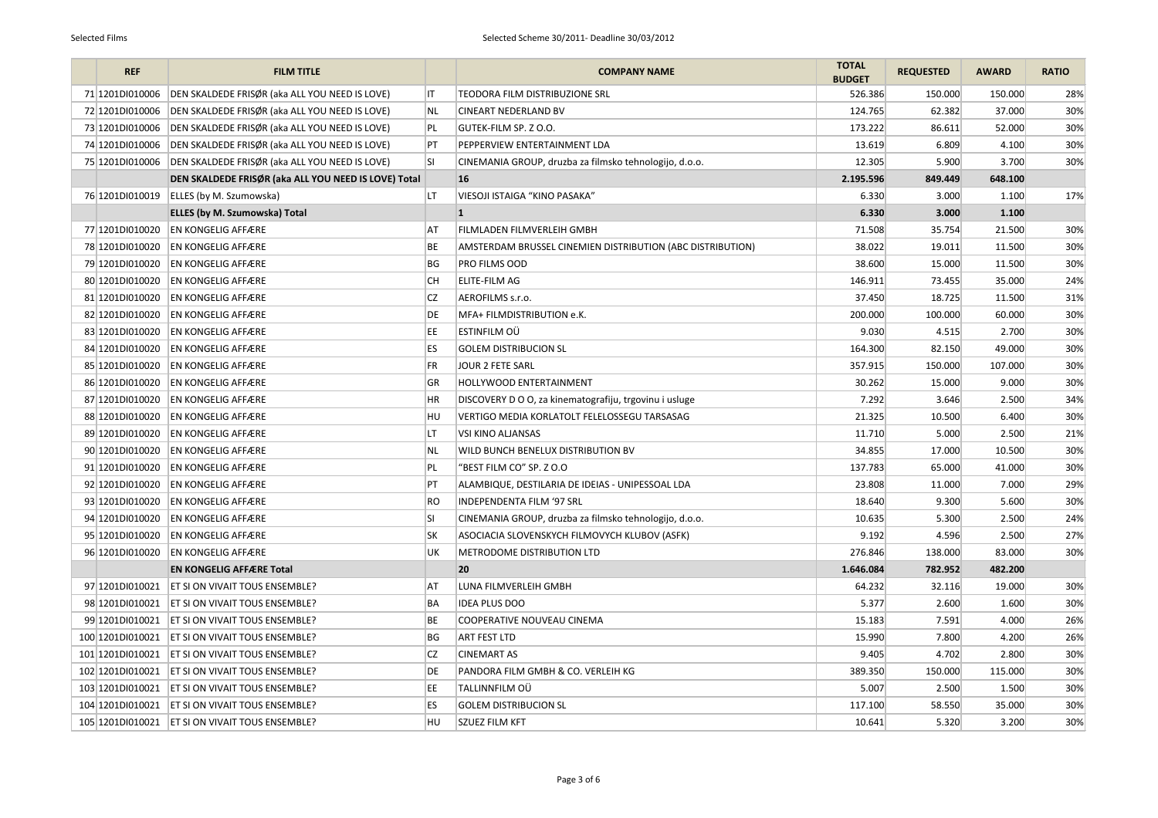| <b>REF</b>        | <b>FILM TITLE</b>                                    |           | <b>COMPANY NAME</b>                                        | <b>TOTAL</b><br><b>BUDGET</b> | <b>REQUESTED</b> | <b>AWARD</b> | <b>RATIO</b> |
|-------------------|------------------------------------------------------|-----------|------------------------------------------------------------|-------------------------------|------------------|--------------|--------------|
| 71 1201 DI010006  | DEN SKALDEDE FRISØR (aka ALL YOU NEED IS LOVE)       | IT        | TEODORA FILM DISTRIBUZIONE SRL                             | 526.386                       | 150.000          | 150.000      | 28%          |
| 72 1201D1010006   | DEN SKALDEDE FRISØR (aka ALL YOU NEED IS LOVE)       | NL.       | <b>CINEART NEDERLAND BV</b>                                | 124.765                       | 62.382           | 37.000       | 30%          |
| 73 1201D1010006   | DEN SKALDEDE FRISØR (aka ALL YOU NEED IS LOVE)       | PL        | <b>GUTEK-FILM SP. Z O.O.</b>                               | 173.222                       | 86.611           | 52.000       | 30%          |
| 74 1201D1010006   | DEN SKALDEDE FRISØR (aka ALL YOU NEED IS LOVE)       | PT        | PEPPERVIEW ENTERTAINMENT LDA                               | 13.619                        | 6.809            | 4.100        | 30%          |
| 75 1201D1010006   | DEN SKALDEDE FRISØR (aka ALL YOU NEED IS LOVE)       | SI        | CINEMANIA GROUP, druzba za filmsko tehnologijo, d.o.o.     | 12.305                        | 5.900            | 3.700        | 30%          |
|                   | DEN SKALDEDE FRISØR (aka ALL YOU NEED IS LOVE) Total |           | 16                                                         | 2.195.596                     | 849.449          | 648.100      |              |
| 76 1201 DI010019  | ELLES (by M. Szumowska)                              | LT        | VIESOJI ISTAIGA "KINO PASAKA"                              | 6.330                         | 3.000            | 1.100        | 17%          |
|                   | <b>ELLES (by M. Szumowska) Total</b>                 |           |                                                            | 6.330                         | 3.000            | 1.100        |              |
| 77 1201D1010020   | <b>EN KONGELIG AFFÆRE</b>                            | AT        | FILMLADEN FILMVERLEIH GMBH                                 | 71.508                        | 35.754           | 21.500       | 30%          |
| 78 1201D1010020   | <b>EN KONGELIG AFFÆRE</b>                            | BE        | AMSTERDAM BRUSSEL CINEMIEN DISTRIBUTION (ABC DISTRIBUTION) | 38.022                        | 19.011           | 11.500       | 30%          |
| 79 1201D1010020   | <b>EN KONGELIG AFFÆRE</b>                            | BG        | <b>PRO FILMS OOD</b>                                       | 38.600                        | 15.000           | 11.500       | 30%          |
| 80 1201D1010020   | <b>EN KONGELIG AFFÆRE</b>                            | <b>CH</b> | <b>ELITE-FILM AG</b>                                       | 146.911                       | 73.455           | 35.000       | 24%          |
| 81 1201 DI010020  | <b>EN KONGELIG AFFÆRE</b>                            | CZ        | AEROFILMS s.r.o.                                           | 37.450                        | 18.725           | 11.500       | 31%          |
| 82 1201D1010020   | <b>EN KONGELIG AFFÆRE</b>                            | DE        | MFA+ FILMDISTRIBUTION e.K.                                 | 200.000                       | 100.000          | 60.000       | 30%          |
| 83 1201D1010020   | <b>EN KONGELIG AFFÆRE</b>                            | EE        | <b>ESTINFILM OÜ</b>                                        | 9.030                         | 4.515            | 2.700        | 30%          |
| 84 1201D1010020   | <b>EN KONGELIG AFFÆRE</b>                            | ES        | <b>GOLEM DISTRIBUCION SL</b>                               | 164.300                       | 82.150           | 49.000       | 30%          |
| 85 1201D1010020   | <b>EN KONGELIG AFFÆRE</b>                            | FR        | JOUR 2 FETE SARL                                           | 357.915                       | 150.000          | 107.000      | 30%          |
| 86 1201D1010020   | <b>EN KONGELIG AFFÆRE</b>                            | GR        | <b>HOLLYWOOD ENTERTAINMENT</b>                             | 30.262                        | 15.000           | 9.000        | 30%          |
| 87 1201D1010020   | <b>EN KONGELIG AFFÆRE</b>                            | HR        | DISCOVERY D O O, za kinematografiju, trgovinu i usluge     | 7.292                         | 3.646            | 2.500        | 34%          |
| 88 1201DI010020   | <b>EN KONGELIG AFFÆRE</b>                            | HU        | VERTIGO MEDIA KORLATOLT FELELOSSEGU TARSASAG               | 21.325                        | 10.500           | 6.400        | 30%          |
| 89 1201D1010020   | <b>EN KONGELIG AFFÆRE</b>                            | LT        | <b>VSI KINO ALJANSAS</b>                                   | 11.710                        | 5.000            | 2.500        | 21%          |
|                   | 90 1201D1010020 EN KONGELIG AFFÆRE                   | NL        | <b>WILD BUNCH BENELUX DISTRIBUTION BV</b>                  | 34.855                        | 17.000           | 10.500       | 30%          |
| 91 1201 DI 010020 | <b>EN KONGELIG AFFÆRE</b>                            | PL        | "BEST FILM CO" SP. Z O.O                                   | 137.783                       | 65.000           | 41.000       | 30%          |
|                   | 92 1201D1010020 EN KONGELIG AFFÆRE                   | PT        | ALAMBIQUE, DESTILARIA DE IDEIAS - UNIPESSOAL LDA           | 23.808                        | 11.000           | 7.000        | 29%          |
| 93 1201D1010020   | <b>EN KONGELIG AFFÆRE</b>                            | RO        | <b>INDEPENDENTA FILM '97 SRL</b>                           | 18.640                        | 9.300            | 5.600        | 30%          |
| 94 1201D1010020   | <b>EN KONGELIG AFFÆRE</b>                            | SI        | CINEMANIA GROUP, druzba za filmsko tehnologijo, d.o.o.     | 10.635                        | 5.300            | 2.500        | 24%          |
| 95 1201D1010020   | <b>EN KONGELIG AFFÆRE</b>                            | <b>SK</b> | ASOCIACIA SLOVENSKYCH FILMOVYCH KLUBOV (ASFK)              | 9.192                         | 4.596            | 2.500        | 27%          |
| 96 1201D1010020   | <b>EN KONGELIG AFFÆRE</b>                            | UK        | <b>METRODOME DISTRIBUTION LTD</b>                          | 276.846                       | 138.000          | 83.000       | 30%          |
|                   | <b>EN KONGELIG AFFÆRE Total</b>                      |           | 20                                                         | 1.646.084                     | 782.952          | 482.200      |              |
| 97 1201 DI010021  | <b>ET SI ON VIVAIT TOUS ENSEMBLE?</b>                | AT        | LUNA FILMVERLEIH GMBH                                      | 64.232                        | 32.116           | 19.000       | 30%          |
| 98 1201D1010021   | <b>ET SI ON VIVAIT TOUS ENSEMBLE?</b>                | BA        | <b>IDEA PLUS DOO</b>                                       | 5.377                         | 2.600            | 1.600        | 30%          |
|                   | 99 1201D1010021   ET SI ON VIVAIT TOUS ENSEMBLE?     | ВE        | COOPERATIVE NOUVEAU CINEMA                                 | 15.183                        | 7.591            | 4.000        | 26%          |
|                   | 100 1201D1010021   ET SI ON VIVAIT TOUS ENSEMBLE?    | BG        | <b>ART FEST LTD</b>                                        | 15.990                        | 7.800            | 4.200        | 26%          |
| 101 1201 DI010021 | <b>ET SI ON VIVAIT TOUS ENSEMBLE?</b>                | <b>CZ</b> | <b>CINEMART AS</b>                                         | 9.405                         | 4.702            | 2.800        | 30%          |
| 102 1201DI010021  | <b>ET SI ON VIVAIT TOUS ENSEMBLE?</b>                | DE        | PANDORA FILM GMBH & CO. VERLEIH KG                         | 389.350                       | 150.000          | 115.000      | 30%          |
|                   | 103 1201D1010021   ET SI ON VIVAIT TOUS ENSEMBLE?    | EE        | TALLINNFILM OÜ                                             | 5.007                         | 2.500            | 1.500        | 30%          |
|                   | 104 1201D1010021   ET SI ON VIVAIT TOUS ENSEMBLE?    | ES        | <b>GOLEM DISTRIBUCION SL</b>                               | 117.100                       | 58.550           | 35.000       | 30%          |
|                   | 105 1201D1010021   ET SI ON VIVAIT TOUS ENSEMBLE?    | HU        | <b>SZUEZ FILM KFT</b>                                      | 10.641                        | 5.320            | 3.200        | 30%          |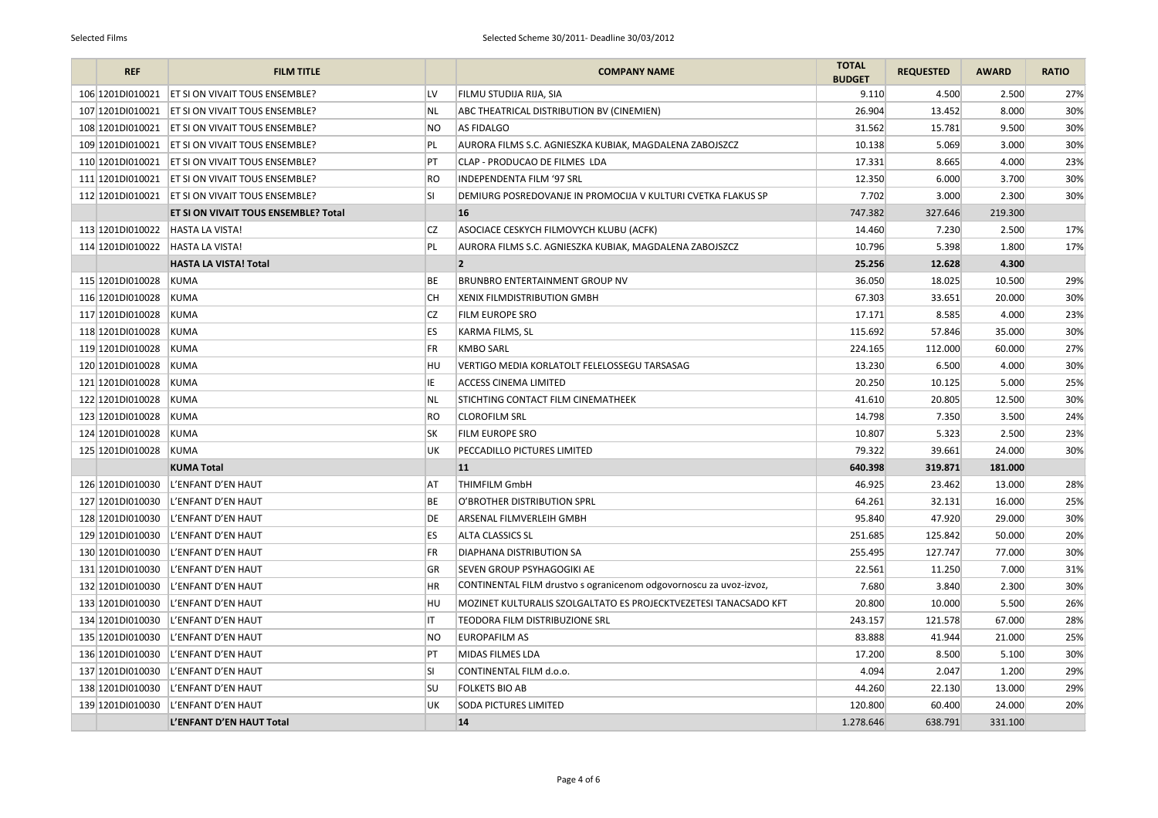| <b>REF</b>            | <b>FILM TITLE</b>                                              | <b>COMPANY NAME</b>                                                | <b>TOTAL</b><br><b>BUDGET</b> | <b>REQUESTED</b> | <b>AWARD</b> | <b>RATIO</b> |
|-----------------------|----------------------------------------------------------------|--------------------------------------------------------------------|-------------------------------|------------------|--------------|--------------|
| 106 1201D1010021      | LV<br>ET SI ON VIVAIT TOUS ENSEMBLE?                           | FILMU STUDIJA RIJA, SIA                                            | 9.110                         | 4.500            | 2.500        | 27%          |
| 107 1201D1010021      | <b>ET SI ON VIVAIT TOUS ENSEMBLE?</b><br><b>NL</b>             | ABC THEATRICAL DISTRIBUTION BV (CINEMIEN)                          | 26.904                        | 13.452           | 8.000        | 30%          |
| 108 1201D1010021      | <b>NO</b><br><b>ET SI ON VIVAIT TOUS ENSEMBLE?</b>             | <b>AS FIDALGO</b>                                                  | 31.562                        | 15.781           | 9.500        | 30%          |
| 109 1201D1010021      | <b>ET SI ON VIVAIT TOUS ENSEMBLE?</b><br>PL                    | AURORA FILMS S.C. AGNIESZKA KUBIAK, MAGDALENA ZABOJSZCZ            | 10.138                        | 5.069            | 3.000        | 30%          |
| 110 1201D 010021      | <b>ET SI ON VIVAIT TOUS ENSEMBLE?</b><br>PT                    | CLAP - PRODUCAO DE FILMES LDA                                      | 17.331                        | 8.665            | 4.000        | 23%          |
|                       | <b>RO</b><br>111 1201D1010021   ET SI ON VIVAIT TOUS ENSEMBLE? | <b>INDEPENDENTA FILM '97 SRL</b>                                   | 12.350                        | 6.000            | 3.700        | 30%          |
|                       | <b>SI</b><br>112 1201D1010021   ET SI ON VIVAIT TOUS ENSEMBLE? | DEMIURG POSREDOVANJE IN PROMOCIJA V KULTURI CVETKA FLAKUS SP       | 7.702                         | 3.000            | 2.300        | 30%          |
|                       | ET SI ON VIVAIT TOUS ENSEMBLE? Total                           | <b>16</b>                                                          | 747.382                       | 327.646          | 219.300      |              |
| 113 1201DI010022      | <b>CZ</b><br><b>HASTA LA VISTA!</b>                            | ASOCIACE CESKYCH FILMOVYCH KLUBU (ACFK)                            | 14.460                        | 7.230            | 2.500        | 17%          |
| 114 1201D1010022      | PL<br><b>HASTA LA VISTA!</b>                                   | AURORA FILMS S.C. AGNIESZKA KUBIAK, MAGDALENA ZABOJSZCZ            | 10.796                        | 5.398            | 1.800        | 17%          |
|                       | <b>HASTA LA VISTA! Total</b>                                   | $\overline{\mathbf{2}}$                                            | 25.256                        | 12.628           | 4.300        |              |
| 115 1201D1010028      | ВE<br><b>KUMA</b>                                              | <b>BRUNBRO ENTERTAINMENT GROUP NV</b>                              | 36.050                        | 18.025           | 10.500       | 29%          |
| 116 1201D1010028      | CН<br><b>KUMA</b>                                              | <b>XENIX FILMDISTRIBUTION GMBH</b>                                 | 67.303                        | 33.651           | 20.000       | 30%          |
| 117 1201D1010028      | <b>CZ</b><br>KUMA                                              | <b>FILM EUROPE SRO</b>                                             | 17.171                        | 8.585            | 4.000        | 23%          |
| 118 1201D1010028      | ES.<br><b>KUMA</b>                                             | KARMA FILMS, SL                                                    | 115.692                       | 57.846           | 35.000       | 30%          |
| 119 1201D1010028      | <b>FR</b><br>KUMA                                              | <b>KMBO SARL</b>                                                   | 224.165                       | 112.000          | 60.000       | 27%          |
| 120 1201D1010028      | HU<br><b>KUMA</b>                                              | VERTIGO MEDIA KORLATOLT FELELOSSEGU TARSASAG                       | 13.230                        | 6.500            | 4.000        | 30%          |
| 121 1201 DI010028     | IE<br>KUMA                                                     | <b>ACCESS CINEMA LIMITED</b>                                       | 20.250                        | 10.125           | 5.000        | 25%          |
| 122 1201D1010028      | <b>NL</b><br>KUMA                                              | <b>STICHTING CONTACT FILM CINEMATHEEK</b>                          | 41.610                        | 20.805           | 12.500       | 30%          |
| 123 1201D1010028      | <b>RO</b><br>KUMA                                              | <b>CLOROFILM SRL</b>                                               | 14.798                        | 7.350            | 3.500        | 24%          |
| 124 1201D1010028      | <b>SK</b><br>KUMA                                              | FILM EUROPE SRO                                                    | 10.807                        | 5.323            | 2.500        | 23%          |
| 125 1201D1010028 KUMA | UK                                                             | <b>PECCADILLO PICTURES LIMITED</b>                                 | 79.322                        | 39.661           | 24.000       | 30%          |
|                       | <b>KUMA Total</b>                                              | 11                                                                 | 640.398                       | 319.871          | 181.000      |              |
| 126 1201D1010030      | L'ENFANT D'EN HAUT<br>AT                                       | <b>THIMFILM GmbH</b>                                               | 46.925                        | 23.462           | 13.000       | 28%          |
|                       | 127 1201D1010030   L'ENFANT D'EN HAUT<br>ВE                    | O'BROTHER DISTRIBUTION SPRL                                        | 64.261                        | 32.131           | 16.000       | 25%          |
| 128 1201D1010030      | L'ENFANT D'EN HAUT<br>DE                                       | ARSENAL FILMVERLEIH GMBH                                           | 95.840                        | 47.920           | 29.000       | 30%          |
| 129 1201DI010030      | L'ENFANT D'EN HAUT<br>ES.                                      | <b>ALTA CLASSICS SL</b>                                            | 251.685                       | 125.842          | 50.000       | 20%          |
| 130 1201DI010030      | L'ENFANT D'EN HAUT<br>FR                                       | <b>DIAPHANA DISTRIBUTION SA</b>                                    | 255.495                       | 127.747          | 77.000       | 30%          |
| 131 1201 DI010030     | L'ENFANT D'EN HAUT<br>GR                                       | SEVEN GROUP PSYHAGOGIKI AE                                         | 22.561                        | 11.250           | 7.000        | 31%          |
| 132 1201DI010030      | ΗR<br>L'ENFANT D'EN HAUT                                       | CONTINENTAL FILM drustvo s ogranicenom odgovornoscu za uvoz-izvoz, | 7.680                         | 3.840            | 2.300        | 30%          |
| 133 1201DI010030      | L'ENFANT D'EN HAUT<br>HU                                       | MOZINET KULTURALIS SZOLGALTATO ES PROJECKTVEZETESI TANACSADO KFT   | 20.800                        | 10.000           | 5.500        | 26%          |
| 134 1201DI010030      | L'ENFANT D'EN HAUT                                             | <b>TEODORA FILM DISTRIBUZIONE SRL</b>                              | 243.157                       | 121.578          | 67.000       | 28%          |
| 135 1201DI010030      | L'ENFANT D'EN HAUT<br>NO                                       | <b>EUROPAFILM AS</b>                                               | 83.888                        | 41.944           | 21.000       | 25%          |
| 136 1201DI010030      | PT<br>L'ENFANT D'EN HAUT                                       | MIDAS FILMES LDA                                                   | 17.200                        | 8.500            | 5.100        | 30%          |
| 137 1201DI010030      | SI<br>L'ENFANT D'EN HAUT                                       | CONTINENTAL FILM d.o.o.                                            | 4.094                         | 2.047            | 1.200        | 29%          |
| 138 1201DI010030      | L'ENFANT D'EN HAUT<br><b>SU</b>                                | <b>FOLKETS BIO AB</b>                                              | 44.260                        | 22.130           | 13.000       | 29%          |
| 139 1201DI010030      | L'ENFANT D'EN HAUT<br>UK                                       | <b>SODA PICTURES LIMITED</b>                                       | 120.800                       | 60.400           | 24.000       | 20%          |
|                       | L'ENFANT D'EN HAUT Total                                       | 14                                                                 | 1.278.646                     | 638.791          | 331.100      |              |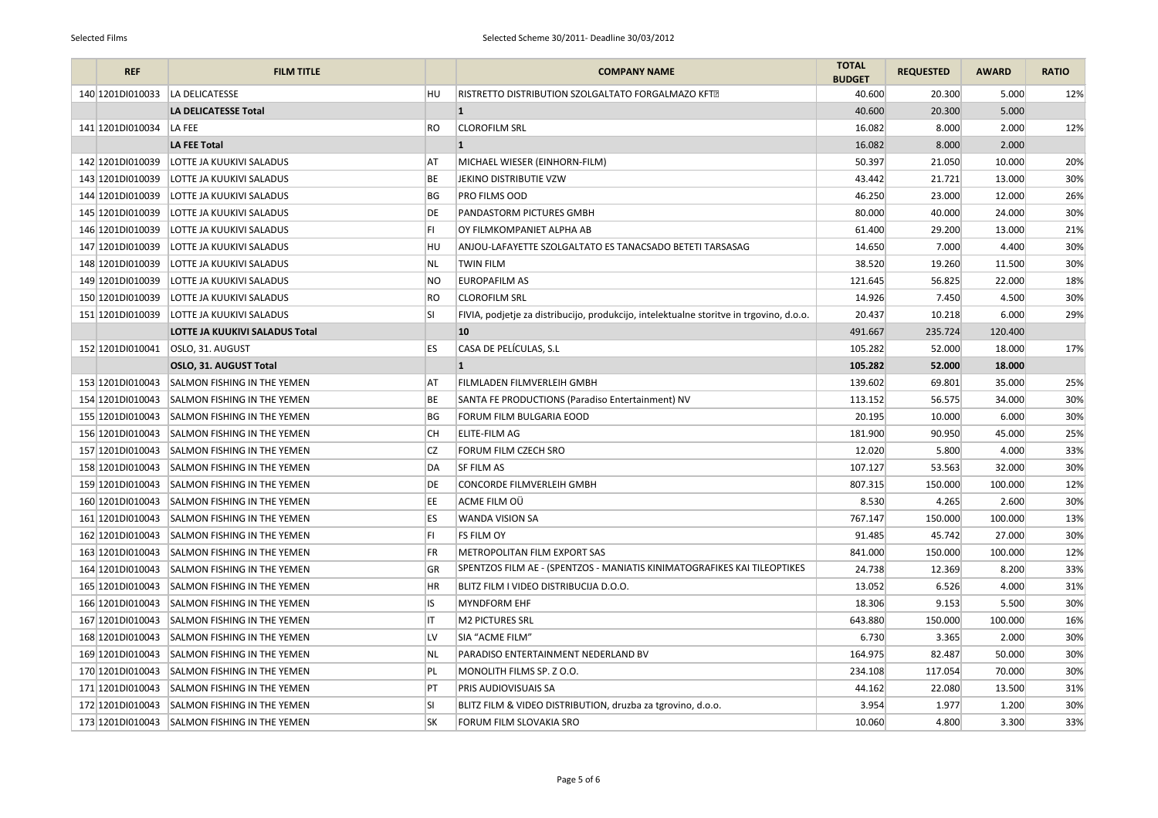| <b>REF</b>        | <b>FILM TITLE</b>                                  | <b>COMPANY NAME</b>                                                                     | <b>TOTAL</b><br><b>BUDGET</b> | <b>REQUESTED</b> | <b>AWARD</b> | <b>RATIO</b> |
|-------------------|----------------------------------------------------|-----------------------------------------------------------------------------------------|-------------------------------|------------------|--------------|--------------|
| 140 1201D1010033  | <b>HU</b><br>LA DELICATESSE                        | RISTRETTO DISTRIBUTION SZOLGALTATO FORGALMAZO KFT?                                      | 40.600                        | 20.300           | 5.000        | 12%          |
|                   | <b>LA DELICATESSE Total</b>                        | $\vert$ 1                                                                               | 40.600                        | 20.300           | 5.000        |              |
| 141 1201 DI010034 | RO<br>LA FEE                                       | <b>CLOROFILM SRL</b>                                                                    | 16.082                        | 8.000            | 2.000        | 12%          |
|                   | <b>LA FEE Total</b>                                | 11                                                                                      | 16.082                        | 8.000            | 2.000        |              |
| 142 1201DI010039  | LOTTE JA KUUKIVI SALADUS<br>AT                     | MICHAEL WIESER (EINHORN-FILM)                                                           | 50.397                        | 21.050           | 10.000       | 20%          |
| 143 1201DI010039  | LOTTE JA KUUKIVI SALADUS<br>BE                     | JEKINO DISTRIBUTIE VZW                                                                  | 43.442                        | 21.721           | 13.000       | 30%          |
| 144 1201D1010039  | BG<br>LOTTE JA KUUKIVI SALADUS                     | <b>PRO FILMS OOD</b>                                                                    | 46.250                        | 23.000           | 12.000       | 26%          |
| 145 1201D1010039  | LOTTE JA KUUKIVI SALADUS<br>DE                     | <b>PANDASTORM PICTURES GMBH</b>                                                         | 80.000                        | 40.000           | 24.000       | 30%          |
| 146 1201D1010039  | LOTTE JA KUUKIVI SALADUS<br>FI                     | OY FILMKOMPANIET ALPHA AB                                                               | 61.400                        | 29.200           | 13.000       | 21%          |
| 147 1201DI010039  | LOTTE JA KUUKIVI SALADUS<br>HU                     | ANJOU-LAFAYETTE SZOLGALTATO ES TANACSADO BETETI TARSASAG                                | 14.650                        | 7.000            | 4.400        | 30%          |
| 148 1201D1010039  | LOTTE JA KUUKIVI SALADUS<br>NL.                    | <b>TWIN FILM</b>                                                                        | 38.520                        | 19.260           | 11.500       | 30%          |
| 149 1201D1010039  | LOTTE JA KUUKIVI SALADUS<br><b>NO</b>              | <b>EUROPAFILM AS</b>                                                                    | 121.645                       | 56.825           | 22.000       | 18%          |
| 150 1201D1010039  | <b>RO</b><br>LOTTE JA KUUKIVI SALADUS              | <b>CLOROFILM SRL</b>                                                                    | 14.926                        | 7.450            | 4.500        | 30%          |
| 151 1201 DI010039 | SI<br>LOTTE JA KUUKIVI SALADUS                     | FIVIA, podjetje za distribucijo, produkcijo, intelektualne storitve in trgovino, d.o.o. | 20.437                        | 10.218           | 6.000        | 29%          |
|                   | <b>LOTTE JA KUUKIVI SALADUS Total</b>              | 10                                                                                      | 491.667                       | 235.724          | 120.400      |              |
| 152 1201DI010041  | ES<br>OSLO, 31. AUGUST                             | CASA DE PELÍCULAS, S.L                                                                  | 105.282                       | 52.000           | 18.000       | 17%          |
|                   | OSLO, 31. AUGUST Total                             |                                                                                         | 105.282                       | 52.000           | 18.000       |              |
| 153 1201D1010043  | SALMON FISHING IN THE YEMEN<br>AT                  | <b>FILMLADEN FILMVERLEIH GMBH</b>                                                       | 139.602                       | 69.801           | 35.000       | 25%          |
|                   | 154 1201D1010043 SALMON FISHING IN THE YEMEN<br>BE | SANTA FE PRODUCTIONS (Paradiso Entertainment) NV                                        | 113.152                       | 56.575           | 34.000       | 30%          |
| 155 1201DI010043  | SALMON FISHING IN THE YEMEN<br>ВG                  | FORUM FILM BULGARIA EOOD                                                                | 20.195                        | 10.000           | 6.000        | 30%          |
| 156 1201DI010043  | CН<br>SALMON FISHING IN THE YEMEN                  | <b>ELITE-FILM AG</b>                                                                    | 181.900                       | 90.950           | 45.000       | 25%          |
|                   | CZ<br>157 1201D1010043 SALMON FISHING IN THE YEMEN | FORUM FILM CZECH SRO                                                                    | 12.020                        | 5.800            | 4.000        | 33%          |
| 158 1201DI010043  | SALMON FISHING IN THE YEMEN<br>DA                  | <b>SF FILM AS</b>                                                                       | 107.127                       | 53.563           | 32.000       | 30%          |
| 159 1201 DI010043 | SALMON FISHING IN THE YEMEN<br>DE                  | <b>CONCORDE FILMVERLEIH GMBH</b>                                                        | 807.315                       | 150.000          | 100.000      | 12%          |
| 160 1201 DI010043 | SALMON FISHING IN THE YEMEN<br>EE.                 | ACME FILM OU                                                                            | 8.530                         | 4.265            | 2.600        | 30%          |
| 161 1201 DI010043 | ES.<br><b>SALMON FISHING IN THE YEMEN</b>          | <b>WANDA VISION SA</b>                                                                  | 767.147                       | 150.000          | 100.000      | 13%          |
| 162 1201DI010043  | <b>SALMON FISHING IN THE YEMEN</b><br>FI.          | <b>FS FILM OY</b>                                                                       | 91.485                        | 45.742           | 27.000       | 30%          |
| 163 1201DI010043  | SALMON FISHING IN THE YEMEN<br>FR.                 | METROPOLITAN FILM EXPORT SAS                                                            | 841.000                       | 150.000          | 100.000      | 12%          |
| 164 1201 DI010043 | GR<br><b>SALMON FISHING IN THE YEMEN</b>           | SPENTZOS FILM AE - (SPENTZOS - MANIATIS KINIMATOGRAFIKES KAI TILEOPTIKES                | 24.738                        | 12.369           | 8.200        | 33%          |
| 165 1201DI010043  | HR<br>SALMON FISHING IN THE YEMEN                  | BLITZ FILM I VIDEO DISTRIBUCIJA D.O.O.                                                  | 13.052                        | 6.526            | 4.000        | 31%          |
| 166 1201DI010043  | IS<br>SALMON FISHING IN THE YEMEN                  | <b>MYNDFORM EHF</b>                                                                     | 18.306                        | 9.153            | 5.500        | 30%          |
| 167 1201 DI010043 | SALMON FISHING IN THE YEMEN                        | <b>M2 PICTURES SRL</b>                                                                  | 643.880                       | 150.000          | 100.000      | 16%          |
|                   | LV<br>168 1201D1010043 SALMON FISHING IN THE YEMEN | SIA "ACME FILM"                                                                         | 6.730                         | 3.365            | 2.000        | 30%          |
| 169 1201D1010043  | SALMON FISHING IN THE YEMEN<br>NL                  | PARADISO ENTERTAINMENT NEDERLAND BV                                                     | 164.975                       | 82.487           | 50.000       | 30%          |
| 170 1201DI010043  | <b>SALMON FISHING IN THE YEMEN</b><br>PL           | MONOLITH FILMS SP. Z O.O.                                                               | 234.108                       | 117.054          | 70.000       | 30%          |
| 171 1201 DI010043 | PT<br>SALMON FISHING IN THE YEMEN                  | <b>PRIS AUDIOVISUAIS SA</b>                                                             | 44.162                        | 22.080           | 13.500       | 31%          |
| 172 1201DI010043  | <b>SI</b><br>SALMON FISHING IN THE YEMEN           | BLITZ FILM & VIDEO DISTRIBUTION, druzba za tgrovino, d.o.o.                             | 3.954                         | 1.977            | 1.200        | 30%          |
|                   | 173 1201D1010043 SALMON FISHING IN THE YEMEN<br>SK | FORUM FILM SLOVAKIA SRO                                                                 | 10.060                        | 4.800            | 3.300        | 33%          |